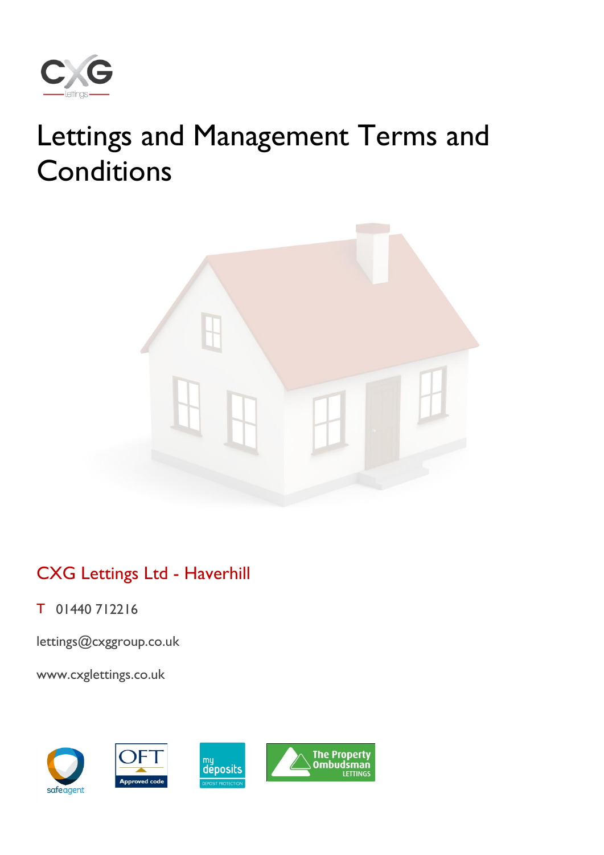

# Lettings and Management Terms and **Conditions**



# CXG Lettings Ltd - Haverhill

T 01440 712216

[lettings@cxggroup.co.uk](mailto:lettings@cxggroup.co.uk)

www.cxglettings.co.uk

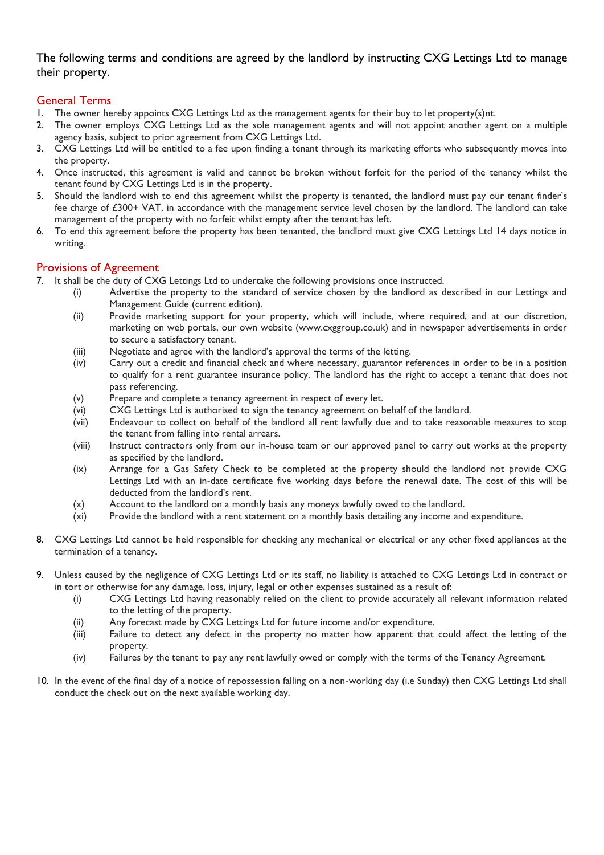The following terms and conditions are agreed by the landlord by instructing CXG Lettings Ltd to manage their property.

# General Terms

- 1. The owner hereby appoints CXG Lettings Ltd as the management agents for their buy to let property(s)nt.
- 2. The owner employs CXG Lettings Ltd as the sole management agents and will not appoint another agent on a multiple agency basis, subject to prior agreement from CXG Lettings Ltd.
- 3. CXG Lettings Ltd will be entitled to a fee upon finding a tenant through its marketing efforts who subsequently moves into the property.
- 4. Once instructed, this agreement is valid and cannot be broken without forfeit for the period of the tenancy whilst the tenant found by CXG Lettings Ltd is in the property.
- 5. Should the landlord wish to end this agreement whilst the property is tenanted, the landlord must pay our tenant finder's fee charge of £300+ VAT, in accordance with the management service level chosen by the landlord. The landlord can take management of the property with no forfeit whilst empty after the tenant has left.
- 6. To end this agreement before the property has been tenanted, the landlord must give CXG Lettings Ltd 14 days notice in writing.

#### Provisions of Agreement

- 7. It shall be the duty of CXG Lettings Ltd to undertake the following provisions once instructed.
	- (i) Advertise the property to the standard of service chosen by the landlord as described in our Lettings and Management Guide (current edition).
		- (ii) Provide marketing support for your property, which will include, where required, and at our discretion, marketing on web portals, our own website (www.cxggroup.co.uk) and in newspaper advertisements in order to secure a satisfactory tenant.
	- (iii) Negotiate and agree with the landlord's approval the terms of the letting.
	- (iv) Carry out a credit and financial check and where necessary, guarantor references in order to be in a position to qualify for a rent guarantee insurance policy. The landlord has the right to accept a tenant that does not pass referencing.
	- (v) Prepare and complete a tenancy agreement in respect of every let.
	- (vi) CXG Lettings Ltd is authorised to sign the tenancy agreement on behalf of the landlord.
	- (vii) Endeavour to collect on behalf of the landlord all rent lawfully due and to take reasonable measures to stop the tenant from falling into rental arrears.
	- (viii) Instruct contractors only from our in-house team or our approved panel to carry out works at the property as specified by the landlord.
	- (ix) Arrange for a Gas Safety Check to be completed at the property should the landlord not provide CXG Lettings Ltd with an in-date certificate five working days before the renewal date. The cost of this will be deducted from the landlord's rent.
	- (x) Account to the landlord on a monthly basis any moneys lawfully owed to the landlord.
	- (xi) Provide the landlord with a rent statement on a monthly basis detailing any income and expenditure.
- 8. CXG Lettings Ltd cannot be held responsible for checking any mechanical or electrical or any other fixed appliances at the termination of a tenancy.
- 9. Unless caused by the negligence of CXG Lettings Ltd or its staff, no liability is attached to CXG Lettings Ltd in contract or in tort or otherwise for any damage, loss, injury, legal or other expenses sustained as a result of:
	- (i) CXG Lettings Ltd having reasonably relied on the client to provide accurately all relevant information related to the letting of the property.
	- (ii) Any forecast made by CXG Lettings Ltd for future income and/or expenditure.
	- (iii) Failure to detect any defect in the property no matter how apparent that could affect the letting of the property.
	- (iv) Failures by the tenant to pay any rent lawfully owed or comply with the terms of the Tenancy Agreement.
- 10. In the event of the final day of a notice of repossession falling on a non-working day (i.e Sunday) then CXG Lettings Ltd shall conduct the check out on the next available working day.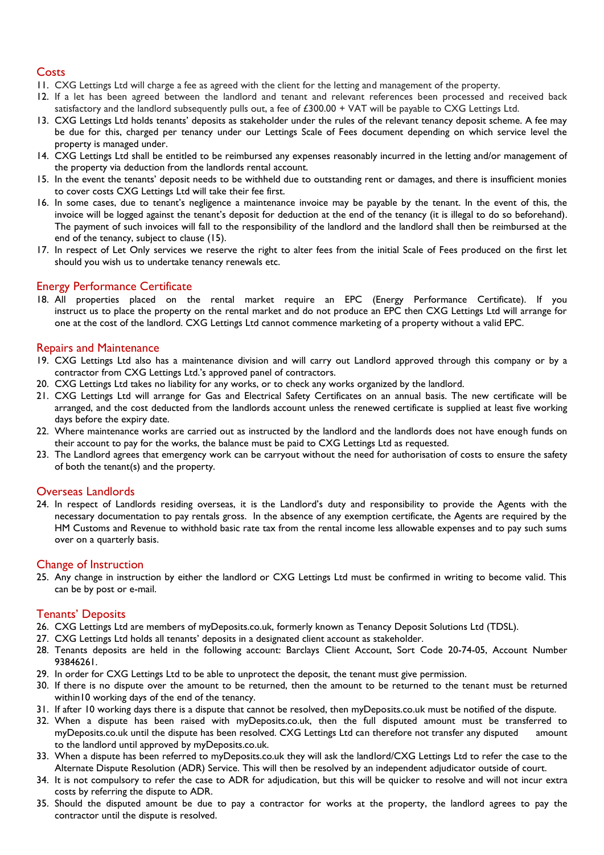# **Costs**

- 11. CXG Lettings Ltd will charge a fee as agreed with the client for the letting and management of the property.
- 12. If a let has been agreed between the landlord and tenant and relevant references been processed and received back satisfactory and the landlord subsequently pulls out, a fee of £300.00 + VAT will be payable to CXG Lettings Ltd.
- 13. CXG Lettings Ltd holds tenants' deposits as stakeholder under the rules of the relevant tenancy deposit scheme. A fee may be due for this, charged per tenancy under our Lettings Scale of Fees document depending on which service level the property is managed under.
- 14. CXG Lettings Ltd shall be entitled to be reimbursed any expenses reasonably incurred in the letting and/or management of the property via deduction from the landlords rental account.
- 15. In the event the tenants' deposit needs to be withheld due to outstanding rent or damages, and there is insufficient monies to cover costs CXG Lettings Ltd will take their fee first.
- 16. In some cases, due to tenant's negligence a maintenance invoice may be payable by the tenant. In the event of this, the invoice will be logged against the tenant's deposit for deduction at the end of the tenancy (it is illegal to do so beforehand). The payment of such invoices will fall to the responsibility of the landlord and the landlord shall then be reimbursed at the end of the tenancy, subject to clause (15).
- 17. In respect of Let Only services we reserve the right to alter fees from the initial Scale of Fees produced on the first let should you wish us to undertake tenancy renewals etc.

### Energy Performance Certificate

18. All properties placed on the rental market require an EPC (Energy Performance Certificate). If you instruct us to place the property on the rental market and do not produce an EPC then CXG Lettings Ltd will arrange for one at the cost of the landlord. CXG Lettings Ltd cannot commence marketing of a property without a valid EPC.

### Repairs and Maintenance

- 19. CXG Lettings Ltd also has a maintenance division and will carry out Landlord approved through this company or by a contractor from CXG Lettings Ltd.'s approved panel of contractors.
- 20. CXG Lettings Ltd takes no liability for any works, or to check any works organized by the landlord.
- 21. CXG Lettings Ltd will arrange for Gas and Electrical Safety Certificates on an annual basis. The new certificate will be arranged, and the cost deducted from the landlords account unless the renewed certificate is supplied at least five working days before the expiry date.
- 22. Where maintenance works are carried out as instructed by the landlord and the landlords does not have enough funds on their account to pay for the works, the balance must be paid to CXG Lettings Ltd as requested.
- 23. The Landlord agrees that emergency work can be carryout without the need for authorisation of costs to ensure the safety of both the tenant(s) and the property.

### Overseas Landlords

24. In respect of Landlords residing overseas, it is the Landlord's duty and responsibility to provide the Agents with the necessary documentation to pay rentals gross. In the absence of any exemption certificate, the Agents are required by the HM Customs and Revenue to withhold basic rate tax from the rental income less allowable expenses and to pay such sums over on a quarterly basis.

### Change of Instruction

25. Any change in instruction by either the landlord or CXG Lettings Ltd must be confirmed in writing to become valid. This can be by post or e-mail.

#### Tenants' Deposits

- 26. CXG Lettings Ltd are members of myDeposits.co.uk, formerly known as Tenancy Deposit Solutions Ltd (TDSL).
- 27. CXG Lettings Ltd holds all tenants' deposits in a designated client account as stakeholder.
- 28. Tenants deposits are held in the following account: Barclays Client Account, Sort Code 20-74-05, Account Number 93846261.
- 29. In order for CXG Lettings Ltd to be able to unprotect the deposit, the tenant must give permission.
- 30. If there is no dispute over the amount to be returned, then the amount to be returned to the tenant must be returned within10 working days of the end of the tenancy.
- 31. If after 10 working days there is a dispute that cannot be resolved, then myDeposits.co.uk must be notified of the dispute.
- 32. When a dispute has been raised with myDeposits.co.uk, then the full disputed amount must be transferred to myDeposits.co.uk until the dispute has been resolved. CXG Lettings Ltd can therefore not transfer any disputed amount to the landlord until approved by myDeposits.co.uk.
- 33. When a dispute has been referred to myDeposits.co.uk they will ask the landlord/CXG Lettings Ltd to refer the case to the Alternate Dispute Resolution (ADR) Service. This will then be resolved by an independent adjudicator outside of court.
- 34. It is not compulsory to refer the case to ADR for adjudication, but this will be quicker to resolve and will not incur extra costs by referring the dispute to ADR.
- 35. Should the disputed amount be due to pay a contractor for works at the property, the landlord agrees to pay the contractor until the dispute is resolved.